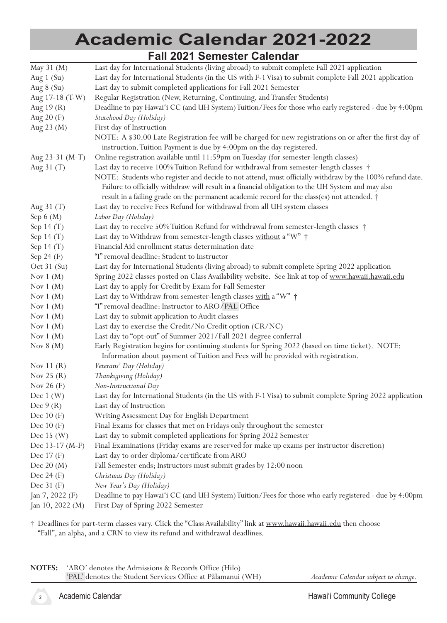## **Academic Calendar 2021-2022 Fall 2021 Semester Calendar**

|                       | <u>I dii 2021 Jeffiester Valendar</u>                                                                                                                                                                         |
|-----------------------|---------------------------------------------------------------------------------------------------------------------------------------------------------------------------------------------------------------|
| May 31 (M)            | Last day for International Students (living abroad) to submit complete Fall 2021 application                                                                                                                  |
| Aug $1$ (Su)          | Last day for International Students (in the US with F-1 Visa) to submit complete Fall 2021 application                                                                                                        |
| Aug $8(Su)$           | Last day to submit completed applications for Fall 2021 Semester                                                                                                                                              |
| Aug 17-18 (T-W)       | Regular Registration (New, Returning, Continuing, and Transfer Students)                                                                                                                                      |
| Aug 19 (R)            | Deadline to pay Hawai'i CC (and UH System) Tuition/Fees for those who early registered - due by 4:00pm                                                                                                        |
| Aug 20 (F)            | Statehood Day (Holiday)                                                                                                                                                                                       |
| Aug 23 (M)            | First day of Instruction                                                                                                                                                                                      |
|                       | NOTE: A \$30.00 Late Registration fee will be charged for new registrations on or after the first day of<br>instruction. Tuition Payment is due by 4:00pm on the day registered.                              |
| Aug 23-31 (M-T)       | Online registration available until 11:59pm on Tuesday (for semester-length classes)                                                                                                                          |
| Aug 31 (T)            | Last day to receive 100% Tuition Refund for withdrawal from semester-length classes †                                                                                                                         |
|                       | NOTE: Students who register and decide to not attend, must officially withdraw by the 100% refund date.<br>Failure to officially withdraw will result in a financial obligation to the UH System and may also |
|                       | result in a failing grade on the permanent academic record for the class(es) not attended. †                                                                                                                  |
| Aug 31 (T)            | Last day to receive Fees Refund for withdrawal from all UH system classes                                                                                                                                     |
| Sep $6(M)$            | Labor Day (Holiday)                                                                                                                                                                                           |
| Sep 14 (T)            | Last day to receive 50% Tuition Refund for withdrawal from semester-length classes †                                                                                                                          |
| Sep 14 (T)            | Last day to Withdraw from semester-length classes without a "W" +                                                                                                                                             |
| Sep 14 (T)            | Financial Aid enrollment status determination date                                                                                                                                                            |
| Sep 24 (F)            | "I" removal deadline: Student to Instructor                                                                                                                                                                   |
| Oct $31$ (Su)         | Last day for International Students (living abroad) to submit complete Spring 2022 application                                                                                                                |
| Nov $1(M)$            | Spring 2022 classes posted on Class Availability website. See link at top of www.hawaii.hawaii.edu                                                                                                            |
| Nov $1(M)$            | Last day to apply for Credit by Exam for Fall Semester                                                                                                                                                        |
| Nov $1(M)$            | Last day to Withdraw from semester-length classes with a "W" +                                                                                                                                                |
| Nov $1(M)$            | "I" removal deadline: Instructor to ARO/PAL Office                                                                                                                                                            |
| Nov $1(M)$            | Last day to submit application to Audit classes                                                                                                                                                               |
| Nov $1(M)$            | Last day to exercise the Credit/No Credit option (CR/NC)                                                                                                                                                      |
| Nov $1(M)$            | Last day to "opt-out" of Summer 2021/Fall 2021 degree conferral                                                                                                                                               |
| Nov $8(M)$            | Early Registration begins for continuing students for Spring 2022 (based on time ticket). NOTE:<br>Information about payment of Tuition and Fees will be provided with registration.                          |
| Nov 11 $(R)$          | Veterans' Day (Holiday)                                                                                                                                                                                       |
| Nov $25(R)$           | Thanksgiving (Holiday)                                                                                                                                                                                        |
| Nov $26(F)$           | Non-Instructional Day                                                                                                                                                                                         |
| Dec $1$ (W)           | Last day for International Students (in the US with F-1 Visa) to submit complete Spring 2022 application                                                                                                      |
| Dec $9(R)$            | Last day of Instruction                                                                                                                                                                                       |
| Dec $10(F)$           | Writing Assessment Day for English Department                                                                                                                                                                 |
| Dec $10(F)$           | Final Exams for classes that met on Fridays only throughout the semester                                                                                                                                      |
| Dec $15(W)$           | Last day to submit completed applications for Spring 2022 Semester                                                                                                                                            |
| Dec 13-17 (M-F)       | Final Examinations (Friday exams are reserved for make up exams per instructor discretion)                                                                                                                    |
| Dec $17(F)$           | Last day to order diploma/certificate from ARO                                                                                                                                                                |
| Dec $20(M)$           | Fall Semester ends; Instructors must submit grades by 12:00 noon                                                                                                                                              |
| Dec $24(F)$           | Christmas Day (Holiday)                                                                                                                                                                                       |
| Dec $31(F)$           | New Year's Day (Holiday)                                                                                                                                                                                      |
| Jan 7, 2022 (F)       | Deadline to pay Hawai'i CC (and UH System) Tuition/Fees for those who early registered - due by 4:00pm                                                                                                        |
| Jan $10$ , $2022$ (M) | First Day of Spring 2022 Semester                                                                                                                                                                             |

† Deadlines for part-term classes vary. Click the "Class Availability" link at www.hawaii.hawaii.edu then choose "Fall", an alpha, and a CRN to view its refund and withdrawal deadlines.

**NOTES:** 'ARO' denotes the Admissions & Records Office (Hilo) 'PAL' denotes the Student Services Office at Pālamanui (WH)

*Academic Calendar subject to change.*